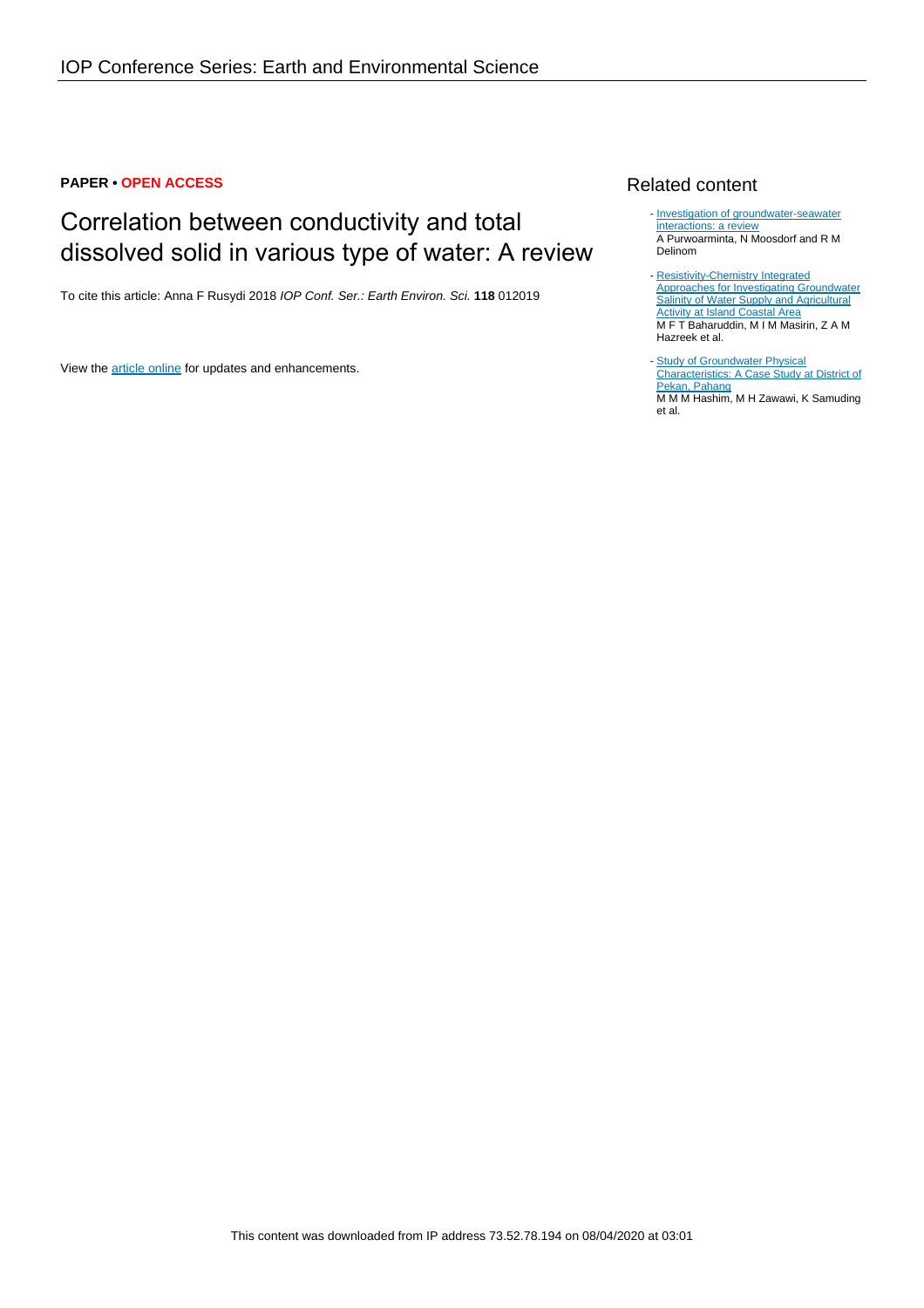#### **PAPER • OPEN ACCESS**

# Correlation between conductivity and total dissolved solid in various type of water: A review

To cite this article: Anna F Rusydi 2018 IOP Conf. Ser.: Earth Environ. Sci. **118** 012019

View the [article online](https://doi.org/10.1088/1755-1315/118/1/012019) for updates and enhancements.

## Related content

- [Investigation of groundwater-seawater](http://iopscience.iop.org/article/10.1088/1755-1315/118/1/012017) [interactions: a review](http://iopscience.iop.org/article/10.1088/1755-1315/118/1/012017) A Purwoarminta, N Moosdorf and R M Delinom
- [Resistivity-Chemistry Integrated](http://iopscience.iop.org/article/10.1088/1742-6596/995/1/012093) [Approaches for Investigating Groundwater](http://iopscience.iop.org/article/10.1088/1742-6596/995/1/012093) **[Salinity of Water Supply and Agricultural](http://iopscience.iop.org/article/10.1088/1742-6596/995/1/012093)** [Activity at Island Coastal Area](http://iopscience.iop.org/article/10.1088/1742-6596/995/1/012093) M F T Baharuddin, M I M Masirin, Z A M Hazreek et al.
- **[Study of Groundwater Physical](http://iopscience.iop.org/article/10.1088/1742-6596/995/1/012096)** [Characteristics: A Case Study at District of](http://iopscience.iop.org/article/10.1088/1742-6596/995/1/012096) [Pekan, Pahang](http://iopscience.iop.org/article/10.1088/1742-6596/995/1/012096) M M M Hashim, M H Zawawi, K Samuding et al. -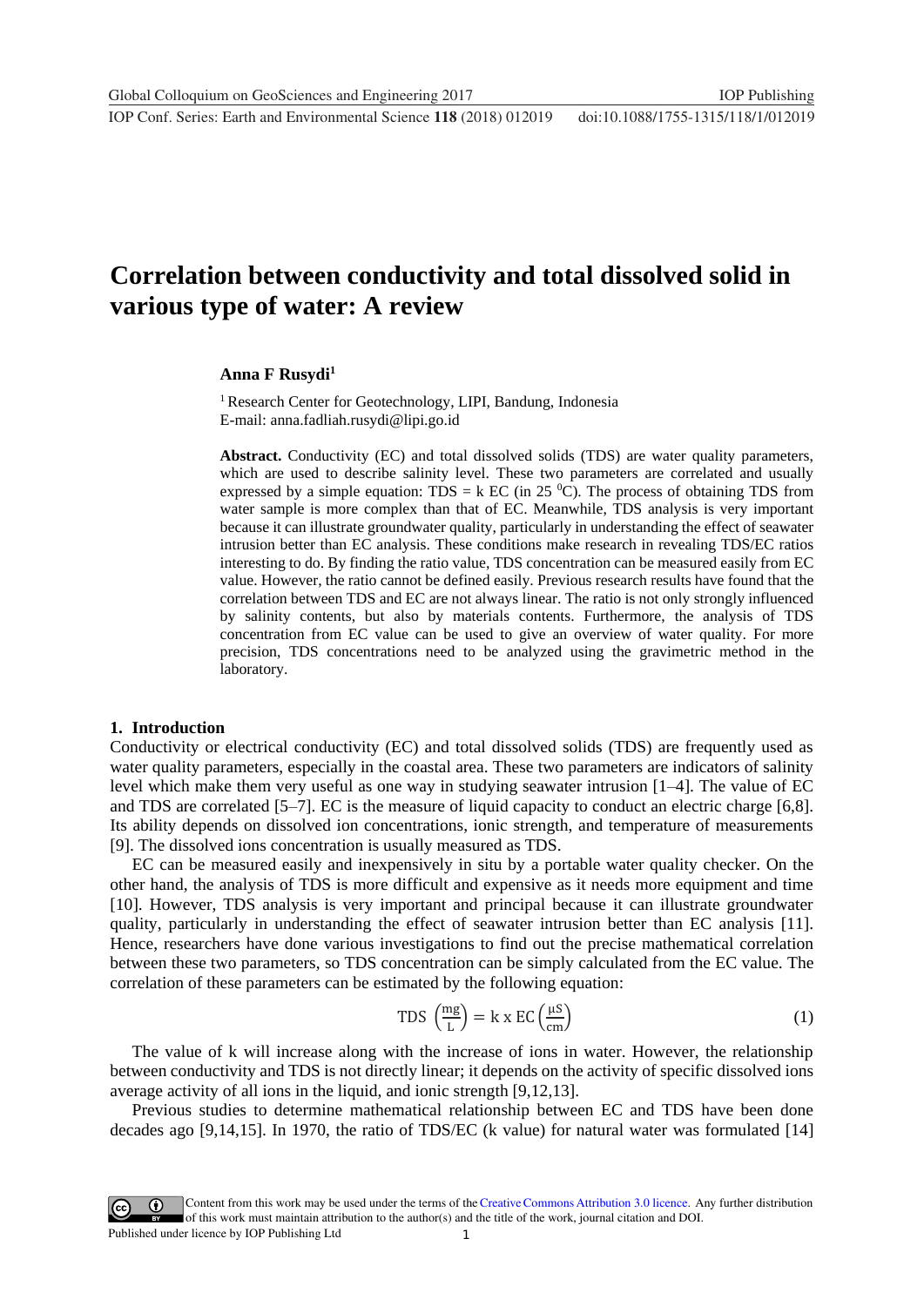**1234567890** IOP Conf. Series: Earth and Environmental Science **118** (2018) 012019 doi :10.1088/1755-1315/118/1/012019

# **Correlation between conductivity and total dissolved solid in various type of water: A review**

#### Anna F Rusydi<sup>1</sup>

<sup>1</sup> Research Center for Geotechnology, LIPI, Bandung, Indonesia E-mail: anna.fadliah.rusydi@lipi.go.id

**Abstract.** Conductivity (EC) and total dissolved solids (TDS) are water quality parameters, which are used to describe salinity level. These two parameters are correlated and usually expressed by a simple equation: TDS = k EC (in 25  $^{\circ}$ C). The process of obtaining TDS from water sample is more complex than that of EC. Meanwhile, TDS analysis is very important because it can illustrate groundwater quality, particularly in understanding the effect of seawater intrusion better than EC analysis. These conditions make research in revealing TDS/EC ratios interesting to do. By finding the ratio value, TDS concentration can be measured easily from EC value. However, the ratio cannot be defined easily. Previous research results have found that the correlation between TDS and EC are not always linear. The ratio is not only strongly influenced by salinity contents, but also by materials contents. Furthermore, the analysis of TDS concentration from EC value can be used to give an overview of water quality. For more precision, TDS concentrations need to be analyzed using the gravimetric method in the laboratory.

#### **1. Introduction**

Conductivity or electrical conductivity (EC) and total dissolved solids (TDS) are frequently used as water quality parameters, especially in the coastal area. These two parameters are indicators of salinity level which make them very useful as one way in studying seawater intrusion [1–4]. The value of EC and TDS are correlated [5–7]. EC is the measure of liquid capacity to conduct an electric charge [6,8]. Its ability depends on dissolved ion concentrations, ionic strength, and temperature of measurements [9]. The dissolved ions concentration is usually measured as TDS.

EC can be measured easily and inexpensively in situ by a portable water quality checker. On the other hand, the analysis of TDS is more difficult and expensive as it needs more equipment and time [10]. However, TDS analysis is very important and principal because it can illustrate groundwater quality, particularly in understanding the effect of seawater intrusion better than EC analysis [11]. Hence, researchers have done various investigations to find out the precise mathematical correlation between these two parameters, so TDS concentration can be simply calculated from the EC value. The correlation of these parameters can be estimated by the following equation:

$$
TDS\left(\frac{mg}{L}\right) = k \times EC\left(\frac{\mu S}{cm}\right) \tag{1}
$$

The value of k will increase along with the increase of ions in water. However, the relationship between conductivity and TDS is not directly linear; it depends on the activity of specific dissolved ions average activity of all ions in the liquid, and ionic strength [9,12,13].

Previous studies to determine mathematical relationship between EC and TDS have been done decades ago [9,14,15]. In 1970, the ratio of TDS/EC (k value) for natural water was formulated [14]

1 Content from this work may be used under the terms of the[Creative Commons Attribution 3.0 licence.](http://creativecommons.org/licenses/by/3.0) Any further distribution of this work must maintain attribution to the author(s) and the title of the work, journal citation and DOI. Published under licence by IOP Publishing Ltd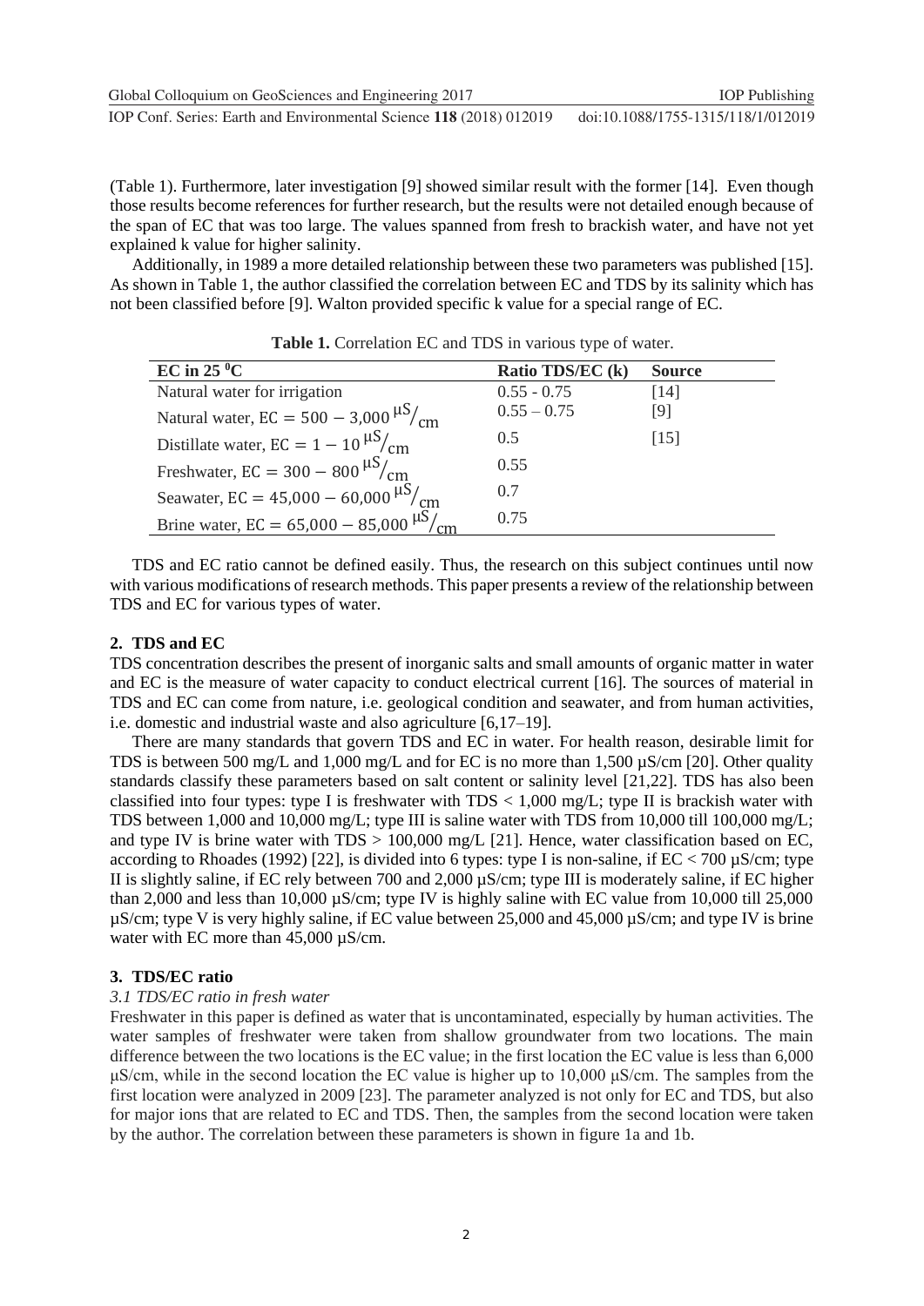(Table 1). Furthermore, later investigation [9] showed similar result with the former [14]. Even though those results become references for further research, but the results were not detailed enough because of the span of EC that was too large. The values spanned from fresh to brackish water, and have not yet explained k value for higher salinity.

Additionally, in 1989 a more detailed relationship between these two parameters was published [15]. As shown in Table 1, the author classified the correlation between EC and TDS by its salinity which has not been classified before [9]. Walton provided specific k value for a special range of EC.

| EC in $25\text{ °C}$                               | Ratio TDS/EC (k) | <b>Source</b> |
|----------------------------------------------------|------------------|---------------|
| Natural water for irrigation                       | $0.55 - 0.75$    | [14]          |
| Natural water, $EC = 500 - 3,000 \frac{\mu S}{cm}$ | $0.55 - 0.75$    | [9]           |
| Distillate water, $EC = 1 - 10 \frac{\mu S}{cm}$   | 0.5              | [15]          |
| Freshwater, EC = $300 - 800 \frac{\mu S}{cm}$      | 0.55             |               |
| Seawater, EC = $45,000 - 60,000 \frac{\mu S}{cm}$  | 0.7              |               |
| Brine water, EC = $65,000 - 85,000$ $\mu$ S/       | 0.75             |               |

**Table 1.** Correlation EC and TDS in various type of water.

TDS and EC ratio cannot be defined easily. Thus, the research on this subject continues until now with various modifications of research methods. This paper presents a review of the relationship between TDS and EC for various types of water.

### **2. TDS and EC**

TDS concentration describes the present of inorganic salts and small amounts of organic matter in water and EC is the measure of water capacity to conduct electrical current [16]. The sources of material in TDS and EC can come from nature, i.e. geological condition and seawater, and from human activities, i.e. domestic and industrial waste and also agriculture [6,17–19].

There are many standards that govern TDS and EC in water. For health reason, desirable limit for TDS is between 500 mg/L and 1,000 mg/L and for EC is no more than  $1.500 \text{ uS/cm}$  [20]. Other quality standards classify these parameters based on salt content or salinity level [21,22]. TDS has also been classified into four types: type I is freshwater with  $TDS < 1,000$  mg/L; type II is brackish water with TDS between 1,000 and 10,000 mg/L; type III is saline water with TDS from 10,000 till 100,000 mg/L; and type IV is brine water with  $TDS > 100,000$  mg/L [21]. Hence, water classification based on EC, according to Rhoades (1992) [22], is divided into 6 types: type I is non-saline, if  $EC < 700 \mu S/cm$ ; type II is slightly saline, if EC rely between 700 and 2,000 µS/cm; type III is moderately saline, if EC higher than 2,000 and less than 10,000 µS/cm; type IV is highly saline with EC value from 10,000 till 25,000 µS/cm; type V is very highly saline, if EC value between 25,000 and 45,000 µS/cm; and type IV is brine water with EC more than 45,000  $\mu$ S/cm.

### **3. TDS/EC ratio**

### *3.1 TDS/EC ratio in fresh water*

Freshwater in this paper is defined as water that is uncontaminated, especially by human activities. The water samples of freshwater were taken from shallow groundwater from two locations. The main difference between the two locations is the EC value; in the first location the EC value is less than 6,000 μS/cm, while in the second location the EC value is higher up to 10,000 μS/cm. The samples from the first location were analyzed in 2009 [23]. The parameter analyzed is not only for EC and TDS, but also for major ions that are related to EC and TDS. Then, the samples from the second location were taken by the author. The correlation between these parameters is shown in figure 1a and 1b.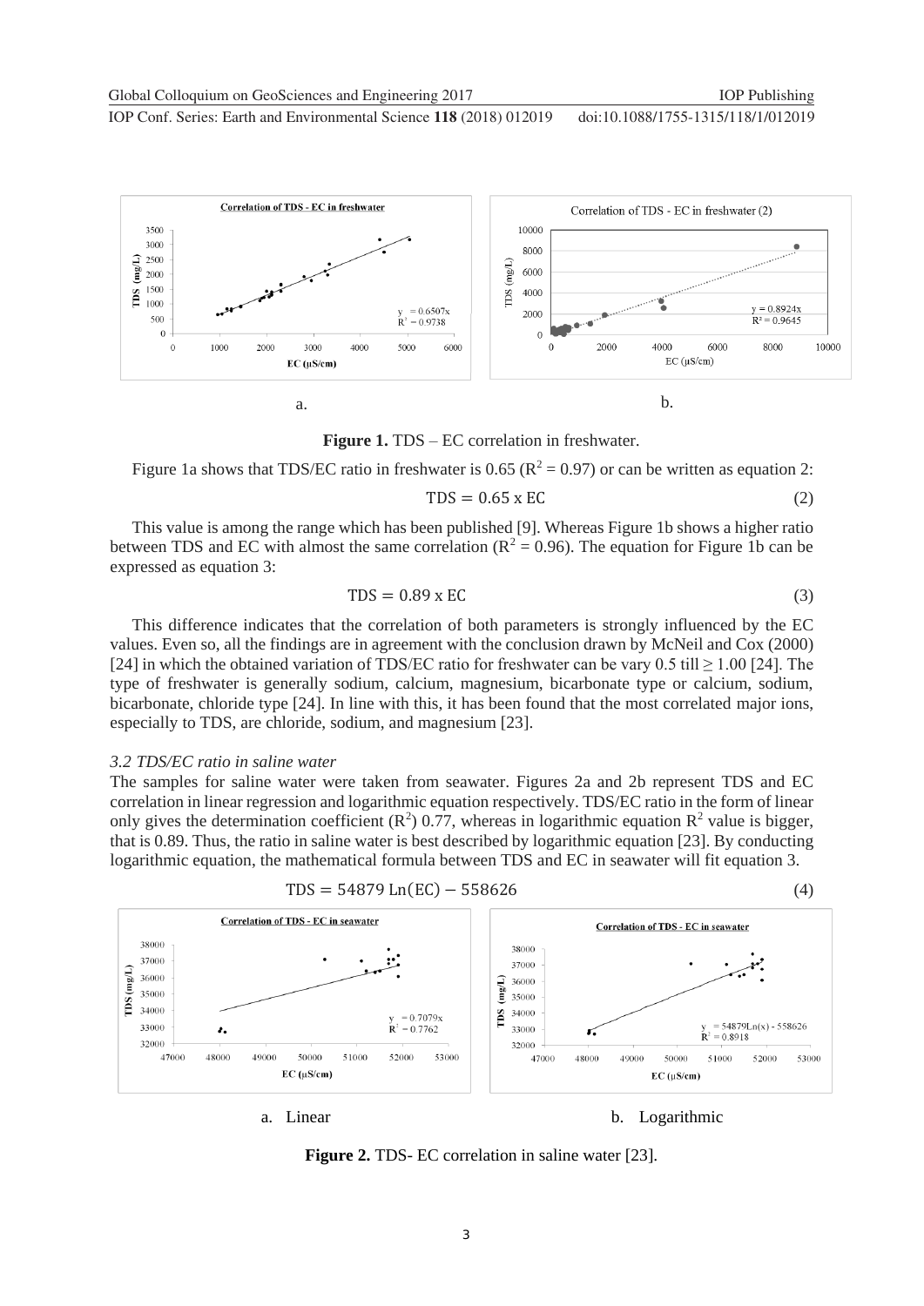**1234567890** IOP Conf. Series: Earth and Environmental Science **118** (2018) 012019 doi :10.1088/1755-1315/118/1/012019



**Figure 1.** TDS – EC correlation in freshwater.

Figure 1a shows that TDS/EC ratio in freshwater is 0.65 ( $R^2 = 0.97$ ) or can be written as equation 2:

$$
TDS = 0.65 \times EC
$$
 (2)

This value is among the range which has been published [9]. Whereas Figure 1b shows a higher ratio between TDS and EC with almost the same correlation ( $R^2 = 0.96$ ). The equation for Figure 1b can be expressed as equation 3:

$$
TDS = 0.89 \times EC
$$
 (3)

This difference indicates that the correlation of both parameters is strongly influenced by the EC values. Even so, all the findings are in agreement with the conclusion drawn by McNeil and Cox (2000) [24] in which the obtained variation of TDS/EC ratio for freshwater can be vary 0.5 till  $\geq 1.00$  [24]. The type of freshwater is generally sodium, calcium, magnesium, bicarbonate type or calcium, sodium, bicarbonate, chloride type [24]. In line with this, it has been found that the most correlated major ions, especially to TDS, are chloride, sodium, and magnesium [23].

#### *3.2 TDS/EC ratio in saline water*

The samples for saline water were taken from seawater. Figures 2a and 2b represent TDS and EC correlation in linear regression and logarithmic equation respectively. TDS/EC ratio in the form of linear only gives the determination coefficient  $(R^2)$  0.77, whereas in logarithmic equation  $R^2$  value is bigger, that is 0.89. Thus, the ratio in saline water is best described by logarithmic equation [23]. By conducting logarithmic equation, the mathematical formula between TDS and EC in seawater will fit equation 3.



**Figure 2.** TDS- EC correlation in saline water [23].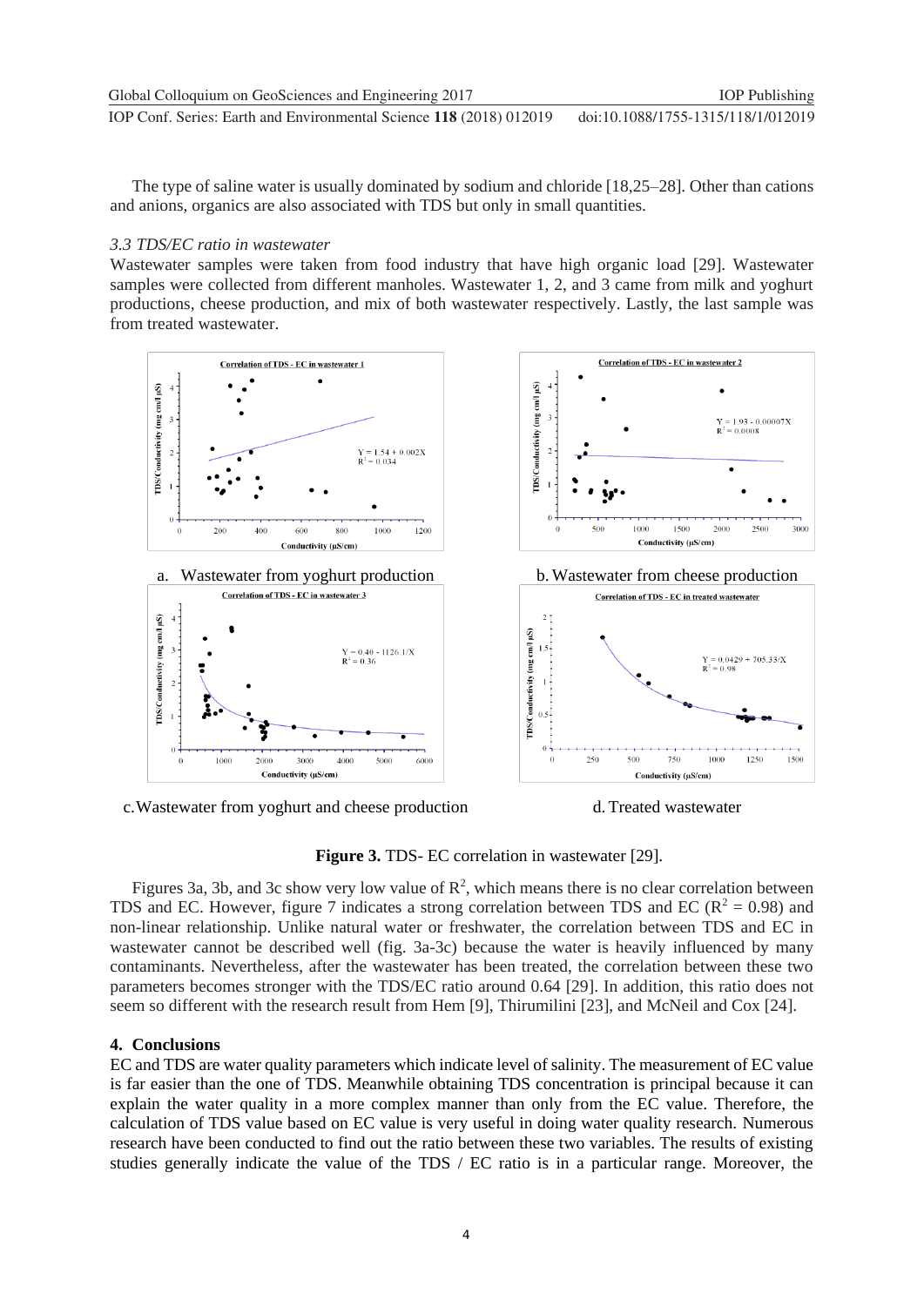The type of saline water is usually dominated by sodium and chloride [18,25–28]. Other than cations and anions, organics are also associated with TDS but only in small quantities.

## *3.3 TDS/EC ratio in wastewater*

Wastewater samples were taken from food industry that have high organic load [29]. Wastewater samples were collected from different manholes. Wastewater 1, 2, and 3 came from milk and yoghurt productions, cheese production, and mix of both wastewater respectively. Lastly, the last sample was from treated wastewater.



c.Wastewater from yoghurt and cheese production d. Treated wastewater

**Figure 3.** TDS- EC correlation in wastewater [29].

Figures 3a, 3b, and 3c show very low value of  $\mathbb{R}^2$ , which means there is no clear correlation between TDS and EC. However, figure 7 indicates a strong correlation between TDS and EC ( $R^2 = 0.98$ ) and non-linear relationship. Unlike natural water or freshwater, the correlation between TDS and EC in wastewater cannot be described well (fig. 3a-3c) because the water is heavily influenced by many contaminants. Nevertheless, after the wastewater has been treated, the correlation between these two parameters becomes stronger with the TDS/EC ratio around 0.64 [29]. In addition, this ratio does not seem so different with the research result from Hem [9], Thirumilini [23], and McNeil and Cox [24].

# **4. Conclusions**

EC and TDS are water quality parameters which indicate level of salinity. The measurement of EC value is far easier than the one of TDS. Meanwhile obtaining TDS concentration is principal because it can explain the water quality in a more complex manner than only from the EC value. Therefore, the calculation of TDS value based on EC value is very useful in doing water quality research. Numerous research have been conducted to find out the ratio between these two variables. The results of existing studies generally indicate the value of the TDS / EC ratio is in a particular range. Moreover, the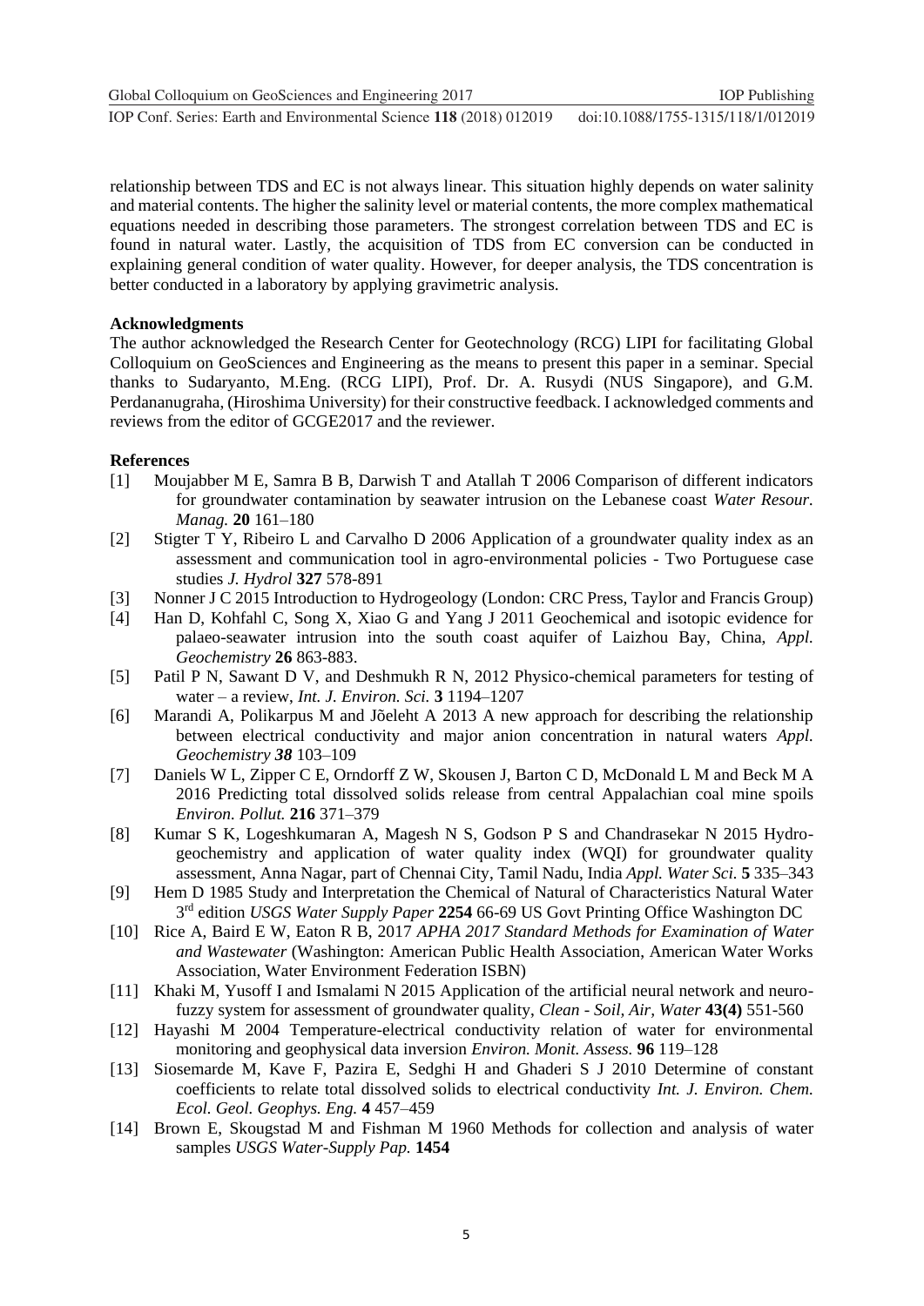**1234567890** IOP Conf. Series: Earth and Environmental Science **118** (2018) 012019 doi :10.1088/1755-1315/118/1/012019 Global Colloquium on GeoSciences and Engineering 2017 **IOP** Publishing

relationship between TDS and EC is not always linear. This situation highly depends on water salinity and material contents. The higher the salinity level or material contents, the more complex mathematical equations needed in describing those parameters. The strongest correlation between TDS and EC is found in natural water. Lastly, the acquisition of TDS from EC conversion can be conducted in explaining general condition of water quality. However, for deeper analysis, the TDS concentration is better conducted in a laboratory by applying gravimetric analysis.

### **Acknowledgments**

The author acknowledged the Research Center for Geotechnology (RCG) LIPI for facilitating Global Colloquium on GeoSciences and Engineering as the means to present this paper in a seminar. Special thanks to Sudaryanto, M.Eng. (RCG LIPI), Prof. Dr. A. Rusydi (NUS Singapore), and G.M. Perdananugraha, (Hiroshima University) for their constructive feedback. I acknowledged comments and reviews from the editor of GCGE2017 and the reviewer.

#### **References**

- [1] Moujabber M E, Samra B B, Darwish T and Atallah T 2006 Comparison of different indicators for groundwater contamination by seawater intrusion on the Lebanese coast *Water Resour. Manag.* **20** 161–180
- [2] Stigter T Y, Ribeiro L and Carvalho D 2006 Application of a groundwater quality index as an assessment and communication tool in agro-environmental policies - Two Portuguese case studies *J. Hydrol* **327** 578-891
- [3] Nonner J C 2015 Introduction to Hydrogeology (London: CRC Press, Taylor and Francis Group)
- [4] Han D, Kohfahl C, Song X, Xiao G and Yang J 2011 Geochemical and isotopic evidence for palaeo-seawater intrusion into the south coast aquifer of Laizhou Bay, China, *Appl. Geochemistry* **26** 863-883.
- [5] Patil P N, Sawant D V, and Deshmukh R N, 2012 Physico-chemical parameters for testing of water – a review, *Int. J. Environ. Sci.* **3** 1194–1207
- [6] Marandi A, Polikarpus M and Jõeleht A 2013 A new approach for describing the relationship between electrical conductivity and major anion concentration in natural waters *Appl. Geochemistry 38* 103–109
- [7] Daniels W L, Zipper C E, Orndorff Z W, Skousen J, Barton C D, McDonald L M and Beck M A 2016 Predicting total dissolved solids release from central Appalachian coal mine spoils *Environ. Pollut.* **216** 371–379
- [8] Kumar S K, Logeshkumaran A, Magesh N S, Godson P S and Chandrasekar N 2015 Hydrogeochemistry and application of water quality index (WQI) for groundwater quality assessment, Anna Nagar, part of Chennai City, Tamil Nadu, India *Appl. Water Sci.* **5** 335–343
- [9] Hem D 1985 Study and Interpretation the Chemical of Natural of Characteristics Natural Water 3 rd edition *USGS Water Supply Paper* **2254** 66-69 US Govt Printing Office Washington DC
- [10] Rice A, Baird E W, Eaton R B, 2017 *APHA 2017 Standard Methods for Examination of Water and Wastewater* (Washington: American Public Health Association, American Water Works Association, Water Environment Federation ISBN)
- [11] Khaki M, Yusoff I and Ismalami N 2015 Application of the artificial neural network and neurofuzzy system for assessment of groundwater quality, *Clean - Soil, Air, Water* **43(4)** 551-560
- [12] Hayashi M 2004 Temperature-electrical conductivity relation of water for environmental monitoring and geophysical data inversion *Environ. Monit. Assess.* **96** 119–128
- [13] Siosemarde M, Kave F, Pazira E, Sedghi H and Ghaderi S J 2010 Determine of constant coefficients to relate total dissolved solids to electrical conductivity *Int. J. Environ. Chem. Ecol. Geol. Geophys. Eng.* **4** 457–459
- [14] Brown E, Skougstad M and Fishman M 1960 Methods for collection and analysis of water samples *USGS Water-Supply Pap.* **1454**